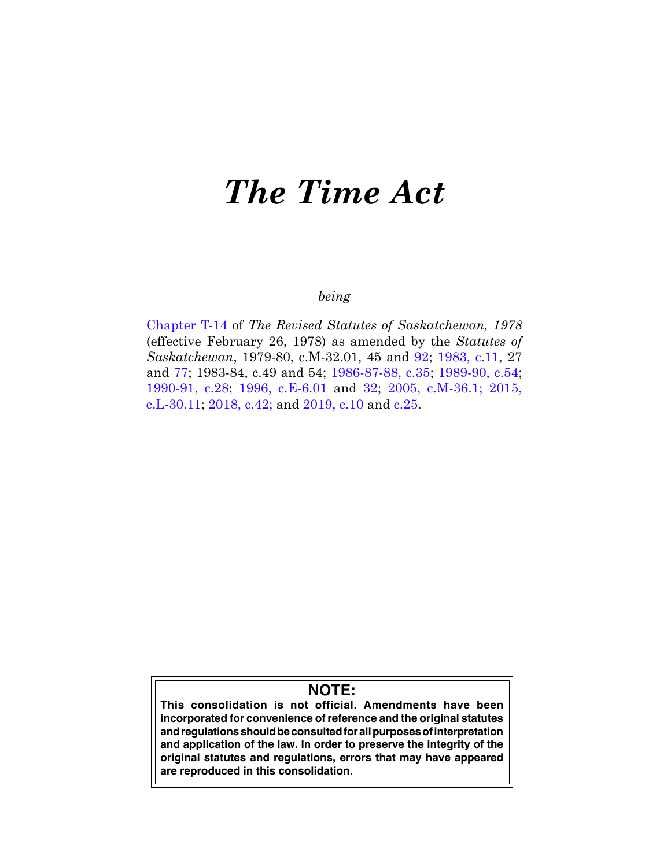# *The Time Act*

# *being*

[Chapter T-14](https://publications.saskatchewan.ca:443/api/v1/products/64644/formats/71951/download) of *The Revised Statutes of Saskatchewan, 1978*  (effective February 26, 1978) as amended by the *Statutes of Saskatchewan*, 1979-80, c.M-32.01, 45 and [92;](https://publications.saskatchewan.ca:443/api/v1/products/67867/formats/75385/download) [1983, c.11](https://publications.saskatchewan.ca:443/api/v1/products/67869/formats/75389/download), 27 and [77;](https://publications.saskatchewan.ca:443/api/v1/products/28824/formats/35868/download) 1983-84, c.49 and 54; [1986-87-88, c.35;](https://publications.saskatchewan.ca:443/api/v1/products/104175/formats/115888/download) [1989-90, c.54](https://publications.saskatchewan.ca:443/api/v1/products/24596/formats/31624/download); [1990-91, c.28;](https://publications.saskatchewan.ca:443/api/v1/products/24712/formats/31784/download) [1996, c.E-6.01](https://publications.saskatchewan.ca:443/api/v1/products/25378/formats/32872/download) and [32;](https://publications.saskatchewan.ca:443/api/v1/products/25335/formats/32788/download) [2005, c.M-36.1](https://publications.saskatchewan.ca:443/api/v1/products/10332/formats/15618/download); [2015,](https://publications.saskatchewan.ca:443/api/v1/products/73280/formats/81899/download)  [c.L-30.11;](https://publications.saskatchewan.ca:443/api/v1/products/73280/formats/81899/download) [2018, c.42;](https://publications.saskatchewan.ca:443/api/v1/products/90531/formats/107441/download) and [2019, c.10](https://publications.saskatchewan.ca:443/api/v1/products/101538/formats/112256/download) and [c.25](https://publications.saskatchewan.ca:443/api/v1/products/101569/formats/112303/download).

# **NOTE:**

**This consolidation is not official. Amendments have been incorporated for convenience of reference and the original statutes and regulations should be consulted for all purposes of interpretation and application of the law. In order to preserve the integrity of the original statutes and regulations, errors that may have appeared are reproduced in this consolidation.**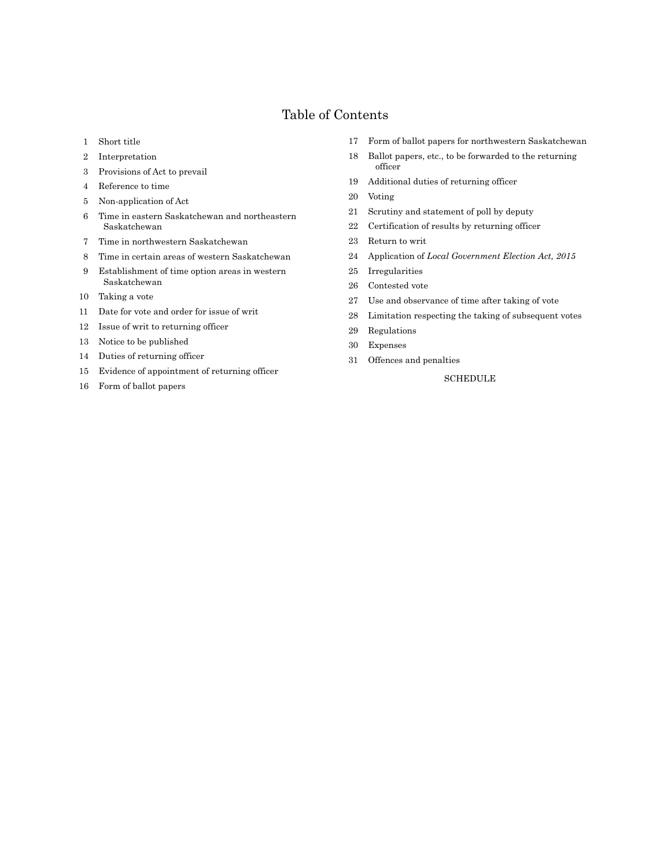# Table of Contents

- Short title
- Interpretation
- Provisions of Act to prevail
- Reference to time
- Non-application of Act
- Time in eastern Saskatchewan and northeastern Saskatchewan
- Time in northwestern Saskatchewan
- Time in certain areas of western Saskatchewan
- Establishment of time option areas in western Saskatchewan
- Taking a vote
- Date for vote and order for issue of writ
- Issue of writ to returning officer
- Notice to be published
- Duties of returning officer
- Evidence of appointment of returning officer
- Form of ballot papers
- Form of ballot papers for northwestern Saskatchewan
- Ballot papers, etc., to be forwarded to the returning officer
- Additional duties of returning officer
- Voting
- Scrutiny and statement of poll by deputy
- Certification of results by returning officer
- Return to writ
- Application of *Local Government Election Act, 2015*
- Irregularities
- Contested vote
- Use and observance of time after taking of vote
- Limitation respecting the taking of subsequent votes
- Regulations
- Expenses
- Offences and penalties

SCHEDULE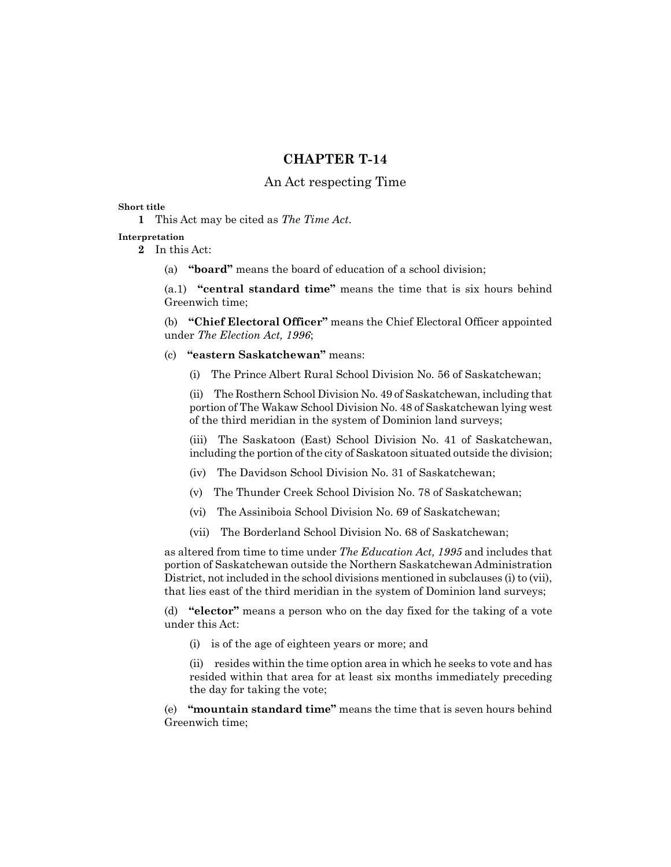## **CHAPTER T-14**

#### An Act respecting Time

#### **Short title**

**1** This Act may be cited as *The Time Act*.

#### **Interpretation**

**2** In this Act:

(a) **"board"** means the board of education of a school division;

(a.1) **"central standard time"** means the time that is six hours behind Greenwich time;

(b) **"Chief Electoral Officer"** means the Chief Electoral Officer appointed under *The Election Act, 1996*;

(c) **"eastern Saskatchewan"** means:

(i) The Prince Albert Rural School Division No. 56 of Saskatchewan;

(ii) The Rosthern School Division No. 49 of Saskatchewan, including that portion of The Wakaw School Division No. 48 of Saskatchewan lying west of the third meridian in the system of Dominion land surveys;

(iii) The Saskatoon (East) School Division No. 41 of Saskatchewan, including the portion of the city of Saskatoon situated outside the division;

- (iv) The Davidson School Division No. 31 of Saskatchewan;
- (v) The Thunder Creek School Division No. 78 of Saskatchewan;
- (vi) The Assiniboia School Division No. 69 of Saskatchewan;
- (vii) The Borderland School Division No. 68 of Saskatchewan;

as altered from time to time under *The Education Act, 1995* and includes that portion of Saskatchewan outside the Northern Saskatchewan Administration District, not included in the school divisions mentioned in subclauses (i) to (vii), that lies east of the third meridian in the system of Dominion land surveys;

(d) **"elector"** means a person who on the day fixed for the taking of a vote under this Act:

(i) is of the age of eighteen years or more; and

(ii) resides within the time option area in which he seeks to vote and has resided within that area for at least six months immediately preceding the day for taking the vote;

(e) **"mountain standard time"** means the time that is seven hours behind Greenwich time;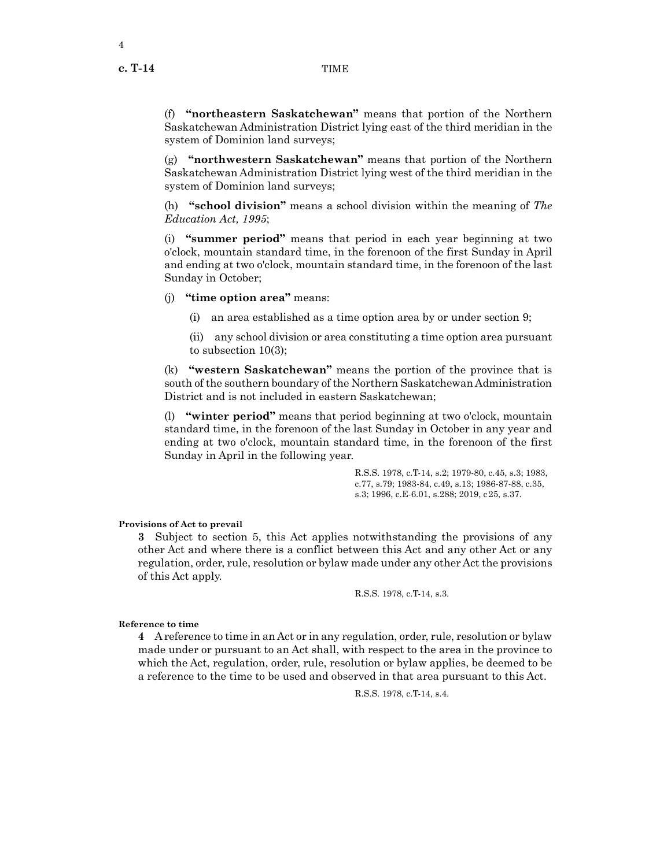4

(f) **"northeastern Saskatchewan"** means that portion of the Northern Saskatchewan Administration District lying east of the third meridian in the system of Dominion land surveys;

(g) **"northwestern Saskatchewan"** means that portion of the Northern Saskatchewan Administration District lying west of the third meridian in the system of Dominion land surveys;

(h) **"school division"** means a school division within the meaning of *The Education Act, 1995*;

(i) **"summer period"** means that period in each year beginning at two o'clock, mountain standard time, in the forenoon of the first Sunday in April and ending at two o'clock, mountain standard time, in the forenoon of the last Sunday in October;

(j) **"time option area"** means:

(i) an area established as a time option area by or under section 9;

(ii) any school division or area constituting a time option area pursuant to subsection 10(3);

(k) **"western Saskatchewan"** means the portion of the province that is south of the southern boundary of the Northern Saskatchewan Administration District and is not included in eastern Saskatchewan;

(l) **"winter period"** means that period beginning at two o'clock, mountain standard time, in the forenoon of the last Sunday in October in any year and ending at two o'clock, mountain standard time, in the forenoon of the first Sunday in April in the following year.

> R.S.S. 1978, c.T-14, s.2; 1979-80, c.45, s.3; 1983, c.77, s.79; 1983-84, c.49, s.13; 1986-87-88, c.35, s.3; 1996, c.E-6.01, s.288; 2019, c25, s.37.

#### **Provisions of Act to prevail**

**3** Subject to section 5, this Act applies notwithstanding the provisions of any other Act and where there is a conflict between this Act and any other Act or any regulation, order, rule, resolution or bylaw made under any other Act the provisions of this Act apply.

R.S.S. 1978, c.T-14, s.3.

#### **Reference to time**

**4** A reference to time in an Act or in any regulation, order, rule, resolution or bylaw made under or pursuant to an Act shall, with respect to the area in the province to which the Act, regulation, order, rule, resolution or bylaw applies, be deemed to be a reference to the time to be used and observed in that area pursuant to this Act.

R.S.S. 1978, c.T-14, s.4.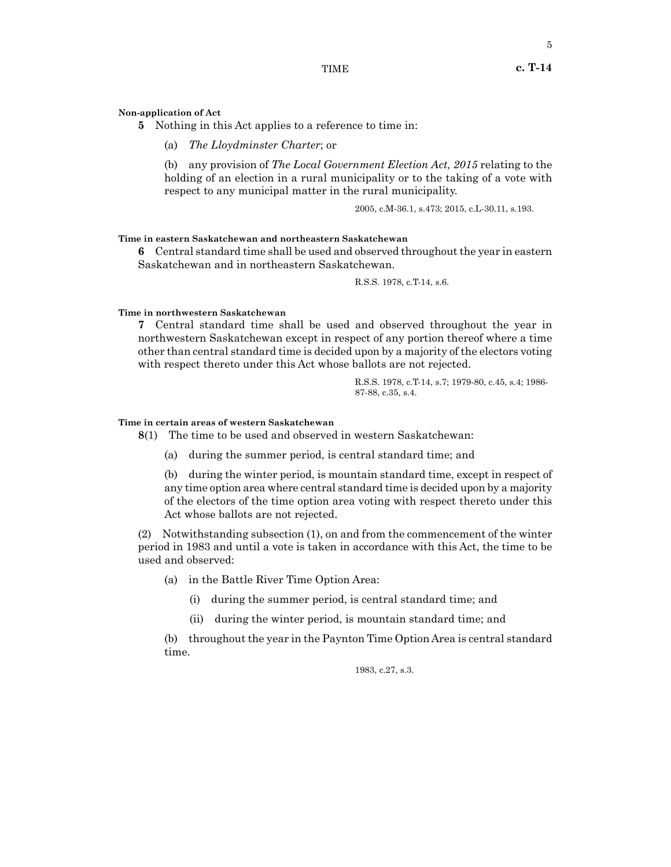# **Non-application of Act**

**5** Nothing in this Act applies to a reference to time in:

(a) *The Lloydminster Charter*; or

(b) any provision of *The Local Government Election Act, 2015* relating to the holding of an election in a rural municipality or to the taking of a vote with respect to any municipal matter in the rural municipality.

2005, c.M-36.1, s.473; 2015, c.L-30.11, s.193.

#### **Time in eastern Saskatchewan and northeastern Saskatchewan**

**6** Central standard time shall be used and observed throughout the year in eastern Saskatchewan and in northeastern Saskatchewan.

R.S.S. 1978, c.T-14, s.6.

#### **Time in northwestern Saskatchewan**

**7** Central standard time shall be used and observed throughout the year in northwestern Saskatchewan except in respect of any portion thereof where a time other than central standard time is decided upon by a majority of the electors voting with respect thereto under this Act whose ballots are not rejected.

> R.S.S. 1978, c.T-14, s.7; 1979-80, c.45, s.4; 1986- 87-88, c.35, s.4.

#### **Time in certain areas of western Saskatchewan**

**8**(1) The time to be used and observed in western Saskatchewan:

(a) during the summer period, is central standard time; and

(b) during the winter period, is mountain standard time, except in respect of any time option area where central standard time is decided upon by a majority of the electors of the time option area voting with respect thereto under this Act whose ballots are not rejected.

(2) Notwithstanding subsection (1), on and from the commencement of the winter period in 1983 and until a vote is taken in accordance with this Act, the time to be used and observed:

(a) in the Battle River Time Option Area:

- (i) during the summer period, is central standard time; and
- (ii) during the winter period, is mountain standard time; and

(b) throughout the year in the Paynton Time Option Area is central standard time.

1983, c.27, s.3.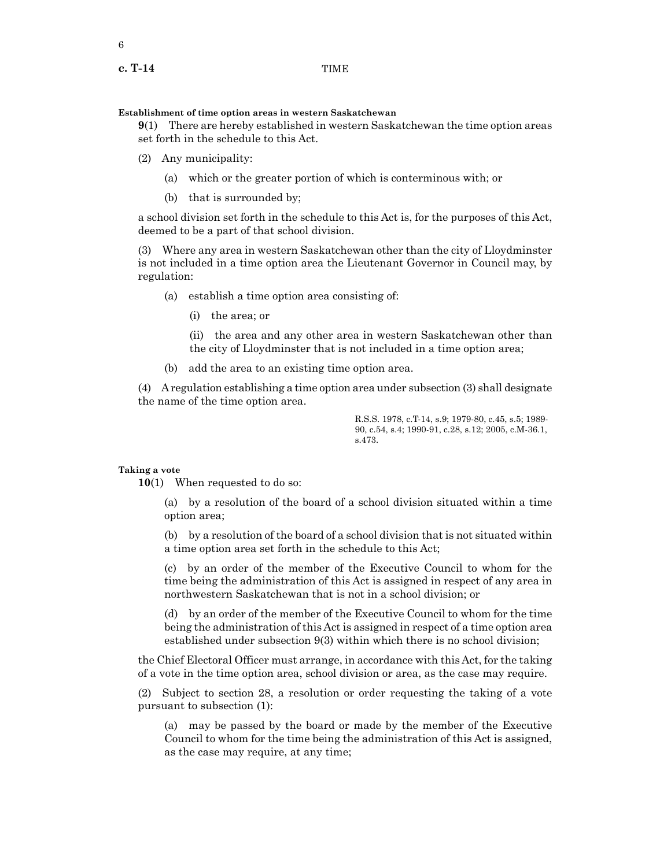**Establishment of time option areas in western Saskatchewan**

**9**(1) There are hereby established in western Saskatchewan the time option areas set forth in the schedule to this Act.

- (2) Any municipality:
	- (a) which or the greater portion of which is conterminous with; or
	- (b) that is surrounded by;

a school division set forth in the schedule to this Act is, for the purposes of this Act, deemed to be a part of that school division.

(3) Where any area in western Saskatchewan other than the city of Lloydminster is not included in a time option area the Lieutenant Governor in Council may, by regulation:

- (a) establish a time option area consisting of:
	- (i) the area; or

(ii) the area and any other area in western Saskatchewan other than the city of Lloydminster that is not included in a time option area;

(b) add the area to an existing time option area.

(4) A regulation establishing a time option area under subsection (3) shall designate the name of the time option area.

> R.S.S. 1978, c.T-14, s.9; 1979-80, c.45, s.5; 1989- 90, c.54, s.4; 1990-91, c.28, s.12; 2005, c.M-36.1, s.473.

#### **Taking a vote**

**10**(1) When requested to do so:

(a) by a resolution of the board of a school division situated within a time option area;

(b) by a resolution of the board of a school division that is not situated within a time option area set forth in the schedule to this Act;

(c) by an order of the member of the Executive Council to whom for the time being the administration of this Act is assigned in respect of any area in northwestern Saskatchewan that is not in a school division; or

(d) by an order of the member of the Executive Council to whom for the time being the administration of this Act is assigned in respect of a time option area established under subsection 9(3) within which there is no school division;

the Chief Electoral Officer must arrange, in accordance with this Act, for the taking of a vote in the time option area, school division or area, as the case may require.

(2) Subject to section 28, a resolution or order requesting the taking of a vote pursuant to subsection (1):

(a) may be passed by the board or made by the member of the Executive Council to whom for the time being the administration of this Act is assigned, as the case may require, at any time;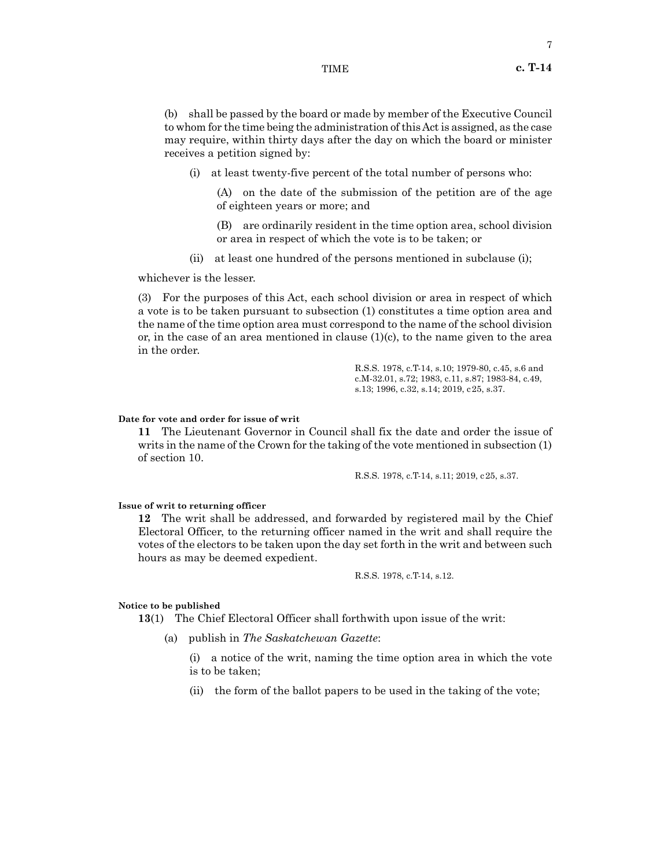#### TIME **c. T-14**

7

(b) shall be passed by the board or made by member of the Executive Council to whom for the time being the administration of this Act is assigned, as the case may require, within thirty days after the day on which the board or minister receives a petition signed by:

(i) at least twenty-five percent of the total number of persons who:

(A) on the date of the submission of the petition are of the age of eighteen years or more; and

(B) are ordinarily resident in the time option area, school division or area in respect of which the vote is to be taken; or

(ii) at least one hundred of the persons mentioned in subclause (i);

whichever is the lesser.

(3) For the purposes of this Act, each school division or area in respect of which a vote is to be taken pursuant to subsection (1) constitutes a time option area and the name of the time option area must correspond to the name of the school division or, in the case of an area mentioned in clause  $(1)(c)$ , to the name given to the area in the order.

> R.S.S. 1978, c.T-14, s.10; 1979-80, c.45, s.6 and c.M-32.01, s.72; 1983, c.11, s.87; 1983-84, c.49, s.13; 1996, c.32, s.14; 2019, c25, s.37.

#### **Date for vote and order for issue of writ**

**11** The Lieutenant Governor in Council shall fix the date and order the issue of writs in the name of the Crown for the taking of the vote mentioned in subsection (1) of section 10.

R.S.S. 1978, c.T-14, s.11; 2019, c25, s.37.

#### **Issue of writ to returning officer**

**12** The writ shall be addressed, and forwarded by registered mail by the Chief Electoral Officer, to the returning officer named in the writ and shall require the votes of the electors to be taken upon the day set forth in the writ and between such hours as may be deemed expedient.

R.S.S. 1978, c.T-14, s.12.

#### **Notice to be published**

**13**(1) The Chief Electoral Officer shall forthwith upon issue of the writ:

(a) publish in *The Saskatchewan Gazette*:

(i) a notice of the writ, naming the time option area in which the vote is to be taken;

(ii) the form of the ballot papers to be used in the taking of the vote;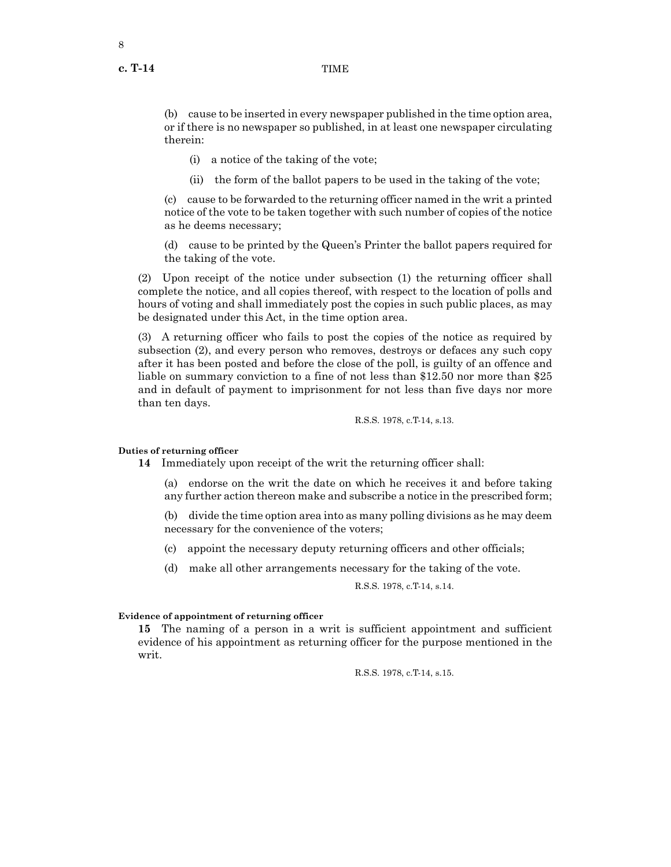**c. T-14** TIME

(b) cause to be inserted in every newspaper published in the time option area, or if there is no newspaper so published, in at least one newspaper circulating therein:

(i) a notice of the taking of the vote;

(ii) the form of the ballot papers to be used in the taking of the vote;

(c) cause to be forwarded to the returning officer named in the writ a printed notice of the vote to be taken together with such number of copies of the notice as he deems necessary;

(d) cause to be printed by the Queen's Printer the ballot papers required for the taking of the vote.

(2) Upon receipt of the notice under subsection (1) the returning officer shall complete the notice, and all copies thereof, with respect to the location of polls and hours of voting and shall immediately post the copies in such public places, as may be designated under this Act, in the time option area.

(3) A returning officer who fails to post the copies of the notice as required by subsection (2), and every person who removes, destroys or defaces any such copy after it has been posted and before the close of the poll, is guilty of an offence and liable on summary conviction to a fine of not less than \$12.50 nor more than \$25 and in default of payment to imprisonment for not less than five days nor more than ten days.

R.S.S. 1978, c.T-14, s.13.

#### **Duties of returning officer**

**14** Immediately upon receipt of the writ the returning officer shall:

(a) endorse on the writ the date on which he receives it and before taking any further action thereon make and subscribe a notice in the prescribed form;

(b) divide the time option area into as many polling divisions as he may deem necessary for the convenience of the voters;

- (c) appoint the necessary deputy returning officers and other officials;
- (d) make all other arrangements necessary for the taking of the vote.

R.S.S. 1978, c.T-14, s.14.

#### **Evidence of appointment of returning officer**

**15** The naming of a person in a writ is sufficient appointment and sufficient evidence of his appointment as returning officer for the purpose mentioned in the writ.

R.S.S. 1978, c.T-14, s.15.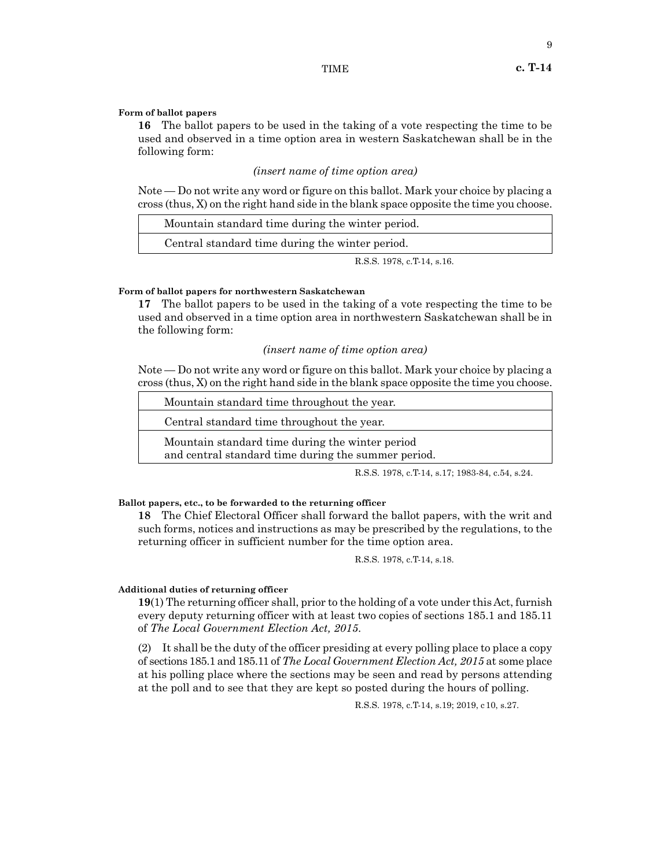#### TIME **c. T-14**

9

#### **Form of ballot papers**

**16** The ballot papers to be used in the taking of a vote respecting the time to be used and observed in a time option area in western Saskatchewan shall be in the following form:

#### *(insert name of time option area)*

Note — Do not write any word or figure on this ballot. Mark your choice by placing a cross (thus, X) on the right hand side in the blank space opposite the time you choose.

| Mountain standard time during the winter period. |
|--------------------------------------------------|
| Central standard time during the winter period.  |
| R.S.S. 1978, c.T.14, s.16.                       |

#### **Form of ballot papers for northwestern Saskatchewan**

**17** The ballot papers to be used in the taking of a vote respecting the time to be used and observed in a time option area in northwestern Saskatchewan shall be in the following form:

#### *(insert name of time option area)*

Note — Do not write any word or figure on this ballot. Mark your choice by placing a cross (thus, X) on the right hand side in the blank space opposite the time you choose.

| Mountain standard time throughout the year.                                                            |  |
|--------------------------------------------------------------------------------------------------------|--|
| Central standard time throughout the year.                                                             |  |
| Mountain standard time during the winter period<br>and central standard time during the summer period. |  |

R.S.S. 1978, c.T-14, s.17; 1983-84, c.54, s.24.

#### **Ballot papers, etc., to be forwarded to the returning officer**

**18** The Chief Electoral Officer shall forward the ballot papers, with the writ and such forms, notices and instructions as may be prescribed by the regulations, to the returning officer in sufficient number for the time option area.

R.S.S. 1978, c.T-14, s.18.

#### **Additional duties of returning officer**

**19**(1) The returning officer shall, prior to the holding of a vote under this Act, furnish every deputy returning officer with at least two copies of sections 185.1 and 185.11 of *The Local Government Election Act, 2015*.

(2) It shall be the duty of the officer presiding at every polling place to place a copy of sections 185.1 and 185.11 of *The Local Government Election Act, 2015* at some place at his polling place where the sections may be seen and read by persons attending at the poll and to see that they are kept so posted during the hours of polling.

R.S.S. 1978, c.T-14, s.19; 2019, c10, s.27.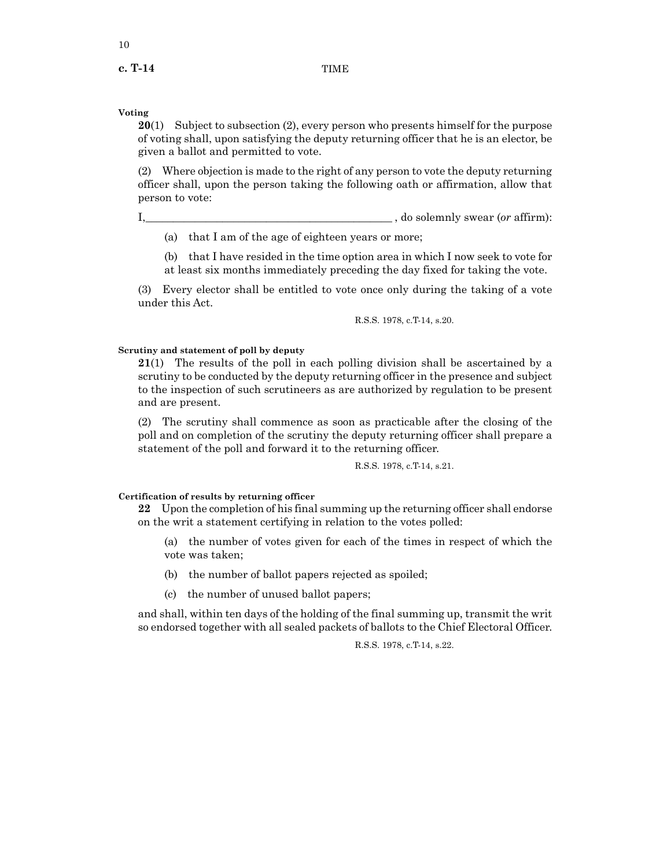**c. T-14** TIME

#### **Voting**

**20**(1) Subject to subsection (2), every person who presents himself for the purpose of voting shall, upon satisfying the deputy returning officer that he is an elector, be given a ballot and permitted to vote.

(2) Where objection is made to the right of any person to vote the deputy returning officer shall, upon the person taking the following oath or affirmation, allow that person to vote:

I,\_\_\_\_\_\_\_\_\_\_\_\_\_\_\_\_\_\_\_\_\_\_\_\_\_\_\_\_\_\_\_\_\_\_\_\_\_\_\_\_\_\_\_\_\_ , do solemnly swear (*or* affirm):

(a) that I am of the age of eighteen years or more;

(b) that I have resided in the time option area in which I now seek to vote for at least six months immediately preceding the day fixed for taking the vote.

(3) Every elector shall be entitled to vote once only during the taking of a vote under this Act.

R.S.S. 1978, c.T-14, s.20.

#### **Scrutiny and statement of poll by deputy**

**21**(1) The results of the poll in each polling division shall be ascertained by a scrutiny to be conducted by the deputy returning officer in the presence and subject to the inspection of such scrutineers as are authorized by regulation to be present and are present.

(2) The scrutiny shall commence as soon as practicable after the closing of the poll and on completion of the scrutiny the deputy returning officer shall prepare a statement of the poll and forward it to the returning officer.

R.S.S. 1978, c.T-14, s.21.

#### **Certification of results by returning officer**

**22** Upon the completion of his final summing up the returning officer shall endorse on the writ a statement certifying in relation to the votes polled:

(a) the number of votes given for each of the times in respect of which the vote was taken;

- (b) the number of ballot papers rejected as spoiled;
- (c) the number of unused ballot papers;

and shall, within ten days of the holding of the final summing up, transmit the writ so endorsed together with all sealed packets of ballots to the Chief Electoral Officer.

R.S.S. 1978, c.T-14, s.22.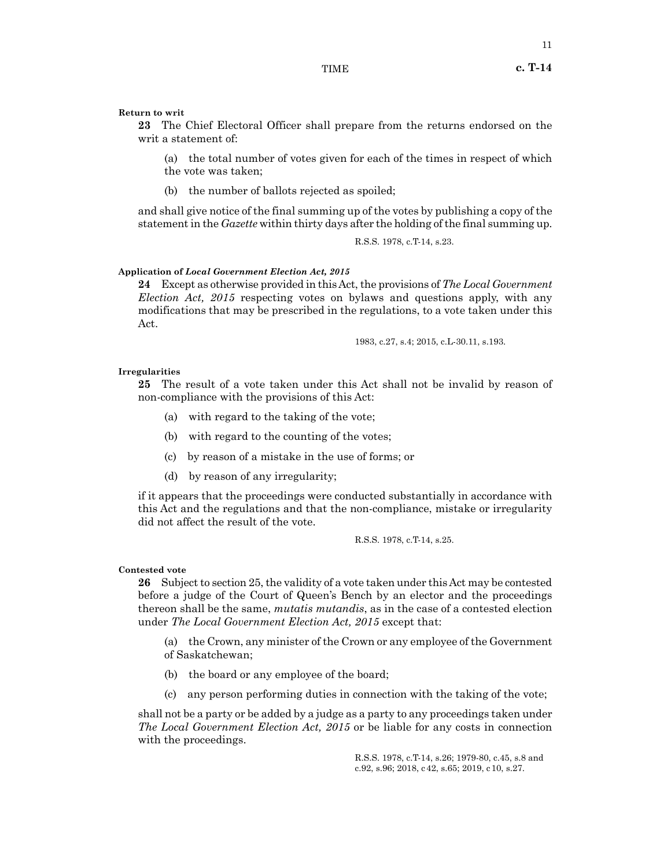#### **Return to writ**

**23** The Chief Electoral Officer shall prepare from the returns endorsed on the writ a statement of:

(a) the total number of votes given for each of the times in respect of which the vote was taken;

(b) the number of ballots rejected as spoiled;

and shall give notice of the final summing up of the votes by publishing a copy of the statement in the *Gazette* within thirty days after the holding of the final summing up.

R.S.S. 1978, c.T-14, s.23.

#### **Application of** *Local Government Election Act, 2015*

**24** Except as otherwise provided in this Act, the provisions of *The Local Government Election Act, 2015* respecting votes on bylaws and questions apply, with any modifications that may be prescribed in the regulations, to a vote taken under this Act.

1983, c.27, s.4; 2015, c.L-30.11, s.193.

#### **Irregularities**

**25** The result of a vote taken under this Act shall not be invalid by reason of non-compliance with the provisions of this Act:

- (a) with regard to the taking of the vote;
- (b) with regard to the counting of the votes;
- (c) by reason of a mistake in the use of forms; or
- (d) by reason of any irregularity;

if it appears that the proceedings were conducted substantially in accordance with this Act and the regulations and that the non-compliance, mistake or irregularity did not affect the result of the vote.

R.S.S. 1978, c.T-14, s.25.

#### **Contested vote**

**26** Subject to section 25, the validity of a vote taken under this Act may be contested before a judge of the Court of Queen's Bench by an elector and the proceedings thereon shall be the same, *mutatis mutandis*, as in the case of a contested election under *The Local Government Election Act, 2015* except that:

(a) the Crown, any minister of the Crown or any employee of the Government of Saskatchewan;

- (b) the board or any employee of the board;
- (c) any person performing duties in connection with the taking of the vote;

shall not be a party or be added by a judge as a party to any proceedings taken under *The Local Government Election Act, 2015* or be liable for any costs in connection with the proceedings.

> R.S.S. 1978, c.T-14, s.26; 1979-80, c.45, s.8 and c.92, s.96; 2018, c42, s.65; 2019, c10, s.27.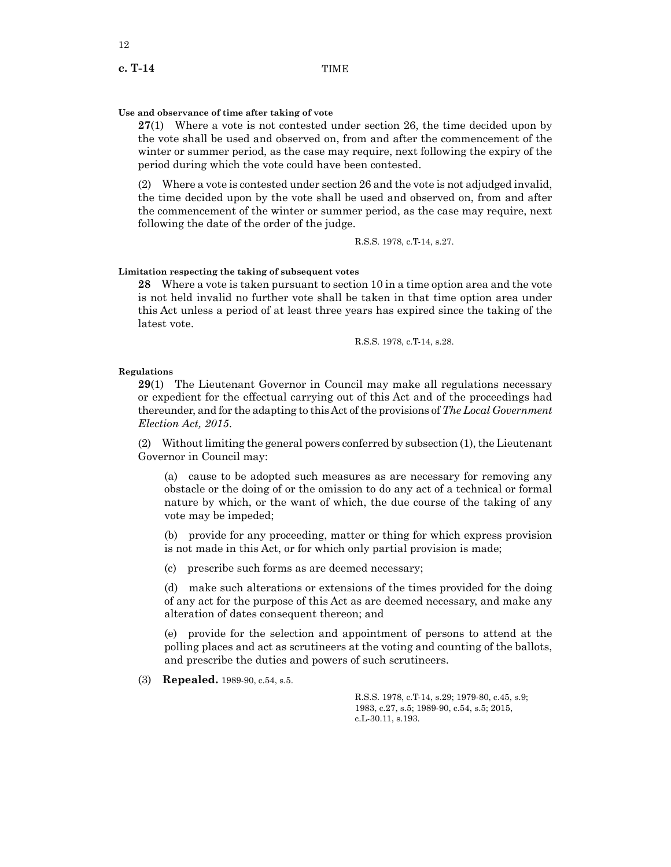**c. T-14** TIME

#### **Use and observance of time after taking of vote**

**27**(1) Where a vote is not contested under section 26, the time decided upon by the vote shall be used and observed on, from and after the commencement of the winter or summer period, as the case may require, next following the expiry of the period during which the vote could have been contested.

(2) Where a vote is contested under section 26 and the vote is not adjudged invalid, the time decided upon by the vote shall be used and observed on, from and after the commencement of the winter or summer period, as the case may require, next following the date of the order of the judge.

R.S.S. 1978, c.T-14, s.27.

#### **Limitation respecting the taking of subsequent votes**

**28** Where a vote is taken pursuant to section 10 in a time option area and the vote is not held invalid no further vote shall be taken in that time option area under this Act unless a period of at least three years has expired since the taking of the latest vote.

R.S.S. 1978, c.T-14, s.28.

#### **Regulations**

**29**(1) The Lieutenant Governor in Council may make all regulations necessary or expedient for the effectual carrying out of this Act and of the proceedings had thereunder, and for the adapting to this Act of the provisions of *The Local Government Election Act, 2015*.

(2) Without limiting the general powers conferred by subsection (1), the Lieutenant Governor in Council may:

(a) cause to be adopted such measures as are necessary for removing any obstacle or the doing of or the omission to do any act of a technical or formal nature by which, or the want of which, the due course of the taking of any vote may be impeded;

(b) provide for any proceeding, matter or thing for which express provision is not made in this Act, or for which only partial provision is made;

(c) prescribe such forms as are deemed necessary;

(d) make such alterations or extensions of the times provided for the doing of any act for the purpose of this Act as are deemed necessary, and make any alteration of dates consequent thereon; and

(e) provide for the selection and appointment of persons to attend at the polling places and act as scrutineers at the voting and counting of the ballots, and prescribe the duties and powers of such scrutineers.

(3) **Repealed.** 1989-90, c.54, s.5.

R.S.S. 1978, c.T-14, s.29; 1979-80, c.45, s.9; 1983, c.27, s.5; 1989-90, c.54, s.5; 2015, c.L-30.11, s.193.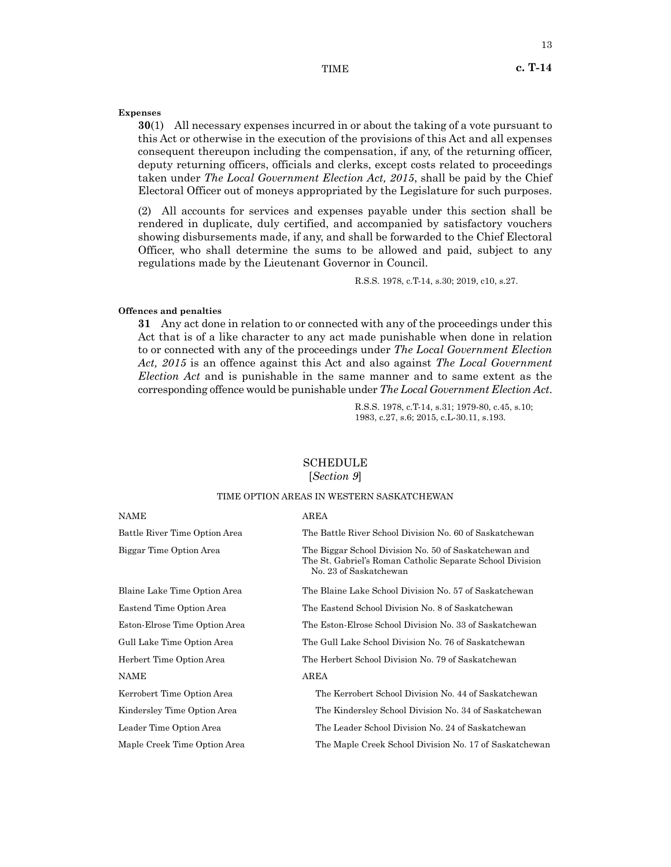#### TIME **c. T-14**

#### **Expenses**

**30**(1) All necessary expenses incurred in or about the taking of a vote pursuant to this Act or otherwise in the execution of the provisions of this Act and all expenses consequent thereupon including the compensation, if any, of the returning officer, deputy returning officers, officials and clerks, except costs related to proceedings taken under *The Local Government Election Act, 2015*, shall be paid by the Chief Electoral Officer out of moneys appropriated by the Legislature for such purposes.

(2) All accounts for services and expenses payable under this section shall be rendered in duplicate, duly certified, and accompanied by satisfactory vouchers showing disbursements made, if any, and shall be forwarded to the Chief Electoral Officer, who shall determine the sums to be allowed and paid, subject to any regulations made by the Lieutenant Governor in Council.

R.S.S. 1978, c.T-14, s.30; 2019, c10, s.27.

#### **Offences and penalties**

**31** Any act done in relation to or connected with any of the proceedings under this Act that is of a like character to any act made punishable when done in relation to or connected with any of the proceedings under *The Local Government Election Act, 2015* is an offence against this Act and also against *The Local Government Election Act* and is punishable in the same manner and to same extent as the corresponding offence would be punishable under *The Local Government Election Act*.

> R.S.S. 1978, c.T-14, s.31; 1979-80, c.45, s.10; 1983, c.27, s.6; 2015, c.L-30.11, s.193.

# **SCHEDULE**

### [*Section 9*]

#### TIME OPTION AREAS IN WESTERN SASKATCHEWAN

| NAME                          | AREA                                                                                                                                         |
|-------------------------------|----------------------------------------------------------------------------------------------------------------------------------------------|
| Battle River Time Option Area | The Battle River School Division No. 60 of Saskatchewan                                                                                      |
| Biggar Time Option Area       | The Biggar School Division No. 50 of Saskatchewan and<br>The St. Gabriel's Roman Catholic Separate School Division<br>No. 23 of Saskatchewan |
| Blaine Lake Time Option Area  | The Blaine Lake School Division No. 57 of Saskatchewan                                                                                       |
| Eastend Time Option Area      | The Eastend School Division No. 8 of Saskatchewan                                                                                            |
| Eston-Elrose Time Option Area | The Eston-Elrose School Division No. 33 of Saskatchewan                                                                                      |
| Gull Lake Time Option Area    | The Gull Lake School Division No. 76 of Saskatchewan                                                                                         |
| Herbert Time Option Area      | The Herbert School Division No. 79 of Saskatchewan                                                                                           |
| <b>NAME</b>                   | AREA                                                                                                                                         |
| Kerrobert Time Option Area    | The Kerrobert School Division No. 44 of Saskatchewan                                                                                         |
| Kindersley Time Option Area   | The Kindersley School Division No. 34 of Saskatchewan                                                                                        |
| Leader Time Option Area       | The Leader School Division No. 24 of Saskatchewan                                                                                            |
| Maple Creek Time Option Area  | The Maple Creek School Division No. 17 of Saskatchewan                                                                                       |